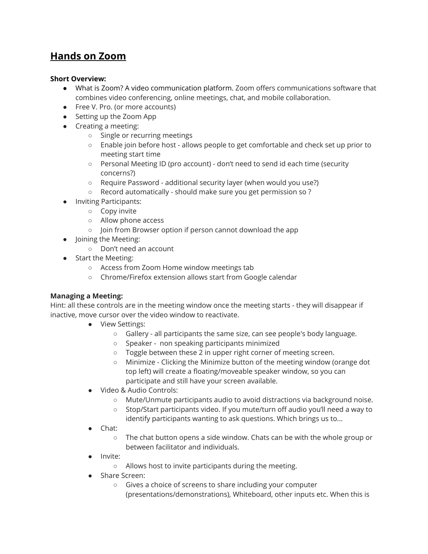# **Hands on Zoom**

### **Short Overview:**

- What is Zoom? A video communication platform. Zoom offers communications software that combines video conferencing, online meetings, chat, and mobile collaboration.
- Free V. Pro. (or more accounts)
- Setting up the Zoom App
- Creating a meeting:
	- Single or recurring meetings
	- Enable join before host allows people to get comfortable and check set up prior to meeting start time
	- Personal Meeting ID (pro account) don't need to send id each time (security concerns?)
	- Require Password additional security layer (when would you use?)
	- Record automatically should make sure you get permission so ?
- **Inviting Participants:** 
	- Copy invite
	- Allow phone access
	- Join from Browser option if person cannot download the app
- Joining the Meeting:
	- Don't need an account
- Start the Meeting:
	- Access from Zoom Home window meetings tab
	- Chrome/Firefox extension allows start from Google calendar

### **Managing a Meeting:**

Hint: all these controls are in the meeting window once the meeting starts - they will disappear if inactive, move cursor over the video window to reactivate.

- View Settings:
	- Gallery all participants the same size, can see people's body language.
	- Speaker non speaking participants minimized
	- Toggle between these 2 in upper right corner of meeting screen.
	- Minimize Clicking the Minimize button of the meeting window (orange dot top left) will create a floating/moveable speaker window, so you can participate and still have your screen available.
- Video & Audio Controls:
	- Mute/Unmute participants audio to avoid distractions via background noise.
	- Stop/Start participants video. If you mute/turn off audio you'll need a way to identify participants wanting to ask questions. Which brings us to...
- Chat:
	- The chat button opens a side window. Chats can be with the whole group or between facilitator and individuals.
- Invite:
	- Allows host to invite participants during the meeting.
- Share Screen:
	- Gives a choice of screens to share including your computer (presentations/demonstrations), Whiteboard, other inputs etc. When this is